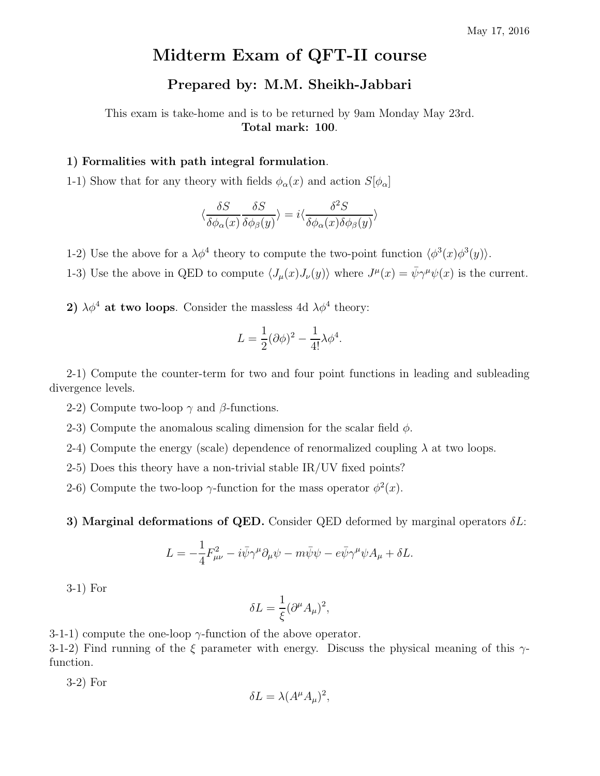## Midterm Exam of QFT-II course

## Prepared by: M.M. Sheikh-Jabbari

This exam is take-home and is to be returned by 9am Monday May 23rd. Total mark: 100.

## 1) Formalities with path integral formulation.

1-1) Show that for any theory with fields  $\phi_{\alpha}(x)$  and action  $S[\phi_{\alpha}]$ 

$$
\langle \frac{\delta S}{\delta \phi_{\alpha}(x)} \frac{\delta S}{\delta \phi_{\beta}(y)} \rangle = i \langle \frac{\delta^2 S}{\delta \phi_{\alpha}(x) \delta \phi_{\beta}(y)} \rangle
$$

1-2) Use the above for a  $\lambda \phi^4$  theory to compute the two-point function  $\langle \phi^3(x) \phi^3(y) \rangle$ .

1-3) Use the above in QED to compute  $\langle J_\mu(x)J_\nu(y)\rangle$  where  $J^\mu(x) = \bar{\psi}\gamma^\mu\psi(x)$  is the current.

2)  $\lambda \phi^4$  at two loops. Consider the massless 4d  $\lambda \phi^4$  theory:

$$
L = \frac{1}{2}(\partial \phi)^2 - \frac{1}{4!} \lambda \phi^4.
$$

2-1) Compute the counter-term for two and four point functions in leading and subleading divergence levels.

- 2-2) Compute two-loop  $\gamma$  and  $\beta$ -functions.
- 2-3) Compute the anomalous scaling dimension for the scalar field  $\phi$ .
- 2-4) Compute the energy (scale) dependence of renormalized coupling  $\lambda$  at two loops.
- 2-5) Does this theory have a non-trivial stable  $IR/UV$  fixed points?
- 2-6) Compute the two-loop  $\gamma$ -function for the mass operator  $\phi^2(x)$ .

3) Marginal deformations of QED. Consider QED deformed by marginal operators  $\delta L$ :

$$
L = -\frac{1}{4}F_{\mu\nu}^2 - i\bar{\psi}\gamma^{\mu}\partial_{\mu}\psi - m\bar{\psi}\psi - e\bar{\psi}\gamma^{\mu}\psi A_{\mu} + \delta L.
$$

$$
3-1
$$
) For

$$
\delta L = \frac{1}{\xi} (\partial^{\mu} A_{\mu})^2,
$$

3-1-1) compute the one-loop  $\gamma$ -function of the above operator.

3-1-2) Find running of the ξ parameter with energy. Discuss the physical meaning of this  $\gamma$ function.

3-2) For

$$
\delta L = \lambda (A^{\mu} A_{\mu})^2,
$$